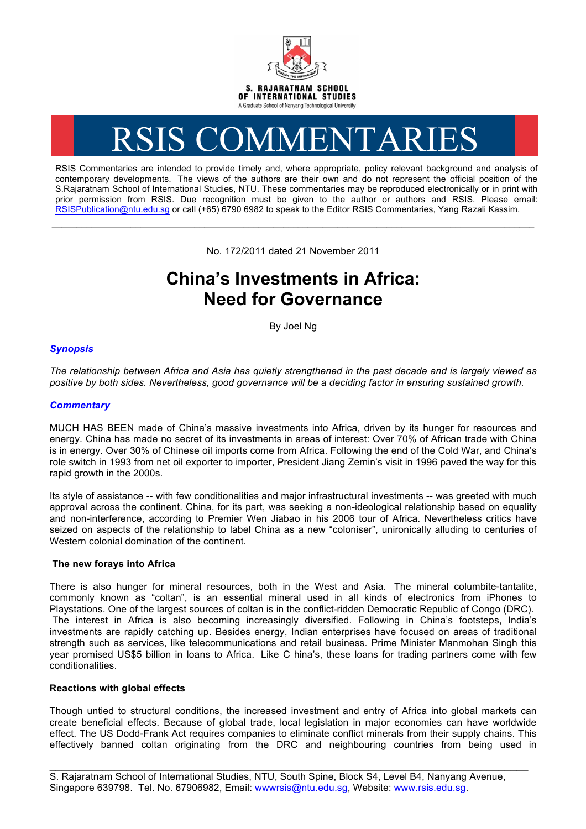

# RSIS COMMENTARIES

RSIS Commentaries are intended to provide timely and, where appropriate, policy relevant background and analysis of contemporary developments. The views of the authors are their own and do not represent the official position of the S.Rajaratnam School of International Studies, NTU. These commentaries may be reproduced electronically or in print with prior permission from RSIS. Due recognition must be given to the author or authors and RSIS. Please email: RSISPublication@ntu.edu.sg or call (+65) 6790 6982 to speak to the Editor RSIS Commentaries, Yang Razali Kassim.

No. 172/2011 dated 21 November 2011

**\_\_\_\_\_\_\_\_\_\_\_\_\_\_\_\_\_\_\_\_\_\_\_\_\_\_\_\_\_\_\_\_\_\_\_\_\_\_\_\_\_\_\_\_\_\_\_\_\_\_\_\_\_\_\_\_\_\_\_\_\_\_\_\_\_\_\_\_\_\_\_\_\_\_\_\_\_\_\_\_\_\_\_\_\_\_\_\_\_\_\_\_\_\_\_\_\_\_**

# **China's Investments in Africa: Need for Governance**

By Joel Ng

# *Synopsis*

*The relationship between Africa and Asia has quietly strengthened in the past decade and is largely viewed as positive by both sides. Nevertheless, good governance will be a deciding factor in ensuring sustained growth.*

## *Commentary*

MUCH HAS BEEN made of China's massive investments into Africa, driven by its hunger for resources and energy. China has made no secret of its investments in areas of interest: Over 70% of African trade with China is in energy. Over 30% of Chinese oil imports come from Africa. Following the end of the Cold War, and China's role switch in 1993 from net oil exporter to importer, President Jiang Zemin's visit in 1996 paved the way for this rapid growth in the 2000s.

Its style of assistance -- with few conditionalities and major infrastructural investments -- was greeted with much approval across the continent. China, for its part, was seeking a non-ideological relationship based on equality and non-interference, according to Premier Wen Jiabao in his 2006 tour of Africa. Nevertheless critics have seized on aspects of the relationship to label China as a new "coloniser", unironically alluding to centuries of Western colonial domination of the continent.

### **The new forays into Africa**

There is also hunger for mineral resources, both in the West and Asia. The mineral columbite-tantalite, commonly known as "coltan", is an essential mineral used in all kinds of electronics from iPhones to Playstations. One of the largest sources of coltan is in the conflict-ridden Democratic Republic of Congo (DRC). The interest in Africa is also becoming increasingly diversified. Following in China's footsteps, India's investments are rapidly catching up. Besides energy, Indian enterprises have focused on areas of traditional strength such as services, like telecommunications and retail business. Prime Minister Manmohan Singh this year promised US\$5 billion in loans to Africa. Like C hina's, these loans for trading partners come with few conditionalities.

### **Reactions with global effects**

Though untied to structural conditions, the increased investment and entry of Africa into global markets can create beneficial effects. Because of global trade, local legislation in major economies can have worldwide effect. The US Dodd-Frank Act requires companies to eliminate conflict minerals from their supply chains. This effectively banned coltan originating from the DRC and neighbouring countries from being used in